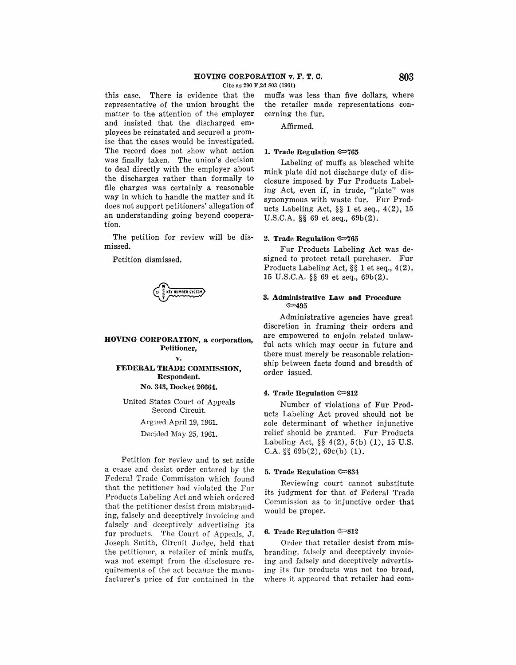## **HOVING CORPORATION v. F. T. C. 803**

Cite as 290 F.2d 803 (1961)

this case. There is evidence that the representative of the union brought the matter to the attention of the employer and insisted that the discharged employees be reinstated and secured a promise that the cases would be investigated. The record does not show what action was finally taken. The union's decision to deal directly with the employer about the discharges rather than formally to file charges was certainly a reasonable way in which to handle the matter and it does not support petitioners' allegation of an understanding going beyond cooperation.

The petition for review will be dismissed.

Petition dismissed.

**w...\_\_\_\_\_ <sup>0</sup>i KEY NUMBER SYSTEM**  T

**HOVING CORPORATION, a corporation, Petitioner,** 

**v.** 

# **FEDERAL TRADE COMMISSION, Respondent. No. 343, Docket 26664.**

United States Court of Appeals Second Circuit.

Argued April 19, 1961.

Decided May 25, 1961.

Petition for review and to set aside a cease and desist order entered by the Federal Trade Commission which found that the petitioner had violated the Fur Products Labeling Act and which ordered that the petitioner desist from misbranding, falsely and deceptively invoicing and falsely and deceptively advertising its fur products. The Court of Appeals, J. Joseph Smith, Circuit Judge, held that the petitioner, a retailer of mink muffs, was not exempt from the disclosure requirements of the act because the manufacturer's price of fur contained in the muffs was less than five dollars, where the retailer made representations concerning the fur.

Affirmed.

#### **1. Trade Regulation**  $\approx 765$

Labeling of muffs as bleached white mink plate did not discharge duty of disclosure imposed by Fur Products Labeling Act, even if, in trade, "plate" was synonymous with waste fur. Fur Products Labeling Act, §§ 1 et seq., 4(2), 15 U.S.C.A. §§ 69 et seq., 69b(2).

## **2. Trade Regulation e=>765**

Fur Products Labeling Act was designed to protect retail purchaser. Fur Products Labeling Act, §§ 1 et seq., 4(2), 15 U.S.C.A. §§ 69 et seq., 69b(2).

## **3. Administrative Law and Procedure e=,495**

Administrative agencies have great discretion in framing their orders and are empowered to enjoin related unlawful acts which may occur in future and there must merely be reasonable relationship between facts found and breadth of order issued.

#### **4. Trade Regulation e=>s12**

Number of violations of Fur Products Labeling Act proved should not be sole determinant of whether injunctive relief should be granted. Fur Products Labeling Act, §§ 4(2), 5(b) (1), 15 U.S. C.A.  $\S\S 69b(2)$ , 69c(b) (1).

#### **5. Trade Regulation**  $\infty$ **834**

Reviewing court cannot substitute its judgment for that of Federal Trade Commission as to injunctive order that would be proper.

### **6. Trade Regulation G:::>812**

Order that retailer desist from misbranding, falsely and deceptively invoicing and falsely and deceptively advertising its fur products was not too broad, where it appeared that retailer had com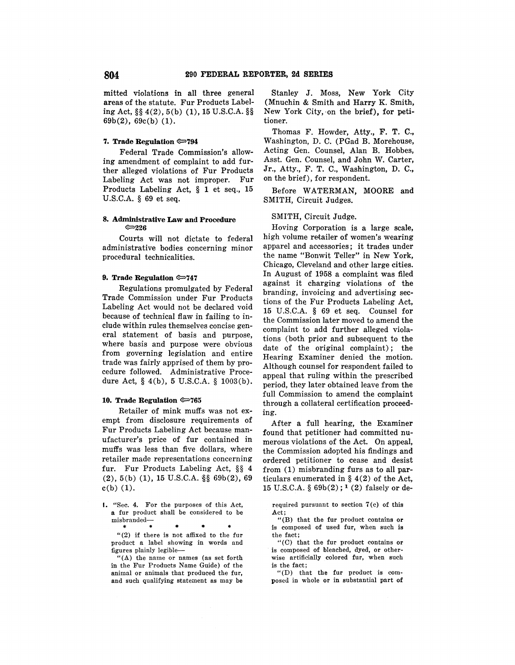mitted violations in all three general areas of the statute. Fur Products Labeling Act,§§ 4(2), 5(b) (1), 15 U.S.C.A. §§ 69b(2), 69c(b) (1).

#### **7. Trade Regulation ~794**

Federal Trade Commission's allowing amendment of complaint to add further alleged violations of Fur Products Labeling Act was not improper. Fur Products Labeling Act, § 1 et seq., 15 U.S.C.A. § 69 et seq.

## **8. Administrative Law and Procedure ~226**

Courts will not dictate to federal administrative bodies concerning minor procedural technicalities.

## **9. Trade Regulation ~747**

Regulations promulgated by Federal Trade Commission under Fur Products Labeling Act would not be declared void because of technical flaw in failing to include within rules themselves concise general statement of basis and purpose, where basis and purpose were obvious from governing legislation and entire trade was fairly apprised of them by procedure followed. Administrative Procedure Act, § 4(b), 5 U.S.C.A. § 1003(b).

### **10. Trade Regulation ~765**

Retailer of mink muffs was not exempt from disclosure requirements of Fur Products Labeling Act because manufacturer's price of fur contained in muffs was· less than five dollars, where retailer made representations concerning fur. Fur Products Labeling Act, §§ 4  $(2), 5(b)$   $(1), 15$  U.S.C.A. §§ 69b $(2), 69$  $c(b)$   $(1)$ .

I. "Sec. 4. For the purposes of this Act, a fur product shall be considered to be misbranded-

\* \* • \* \* "(2) if there is not affixed to the fur product a label showing in words and figures plainly legible-

"(A) the name or names (as set forth in the Fur Products Name Guide) of the animal or animals that produced the fur, and such qualifying statement as may be

Stanley J. Moss, **New York** City (Mnuchin & Smith and Harry K. Smith, New York City, on the brief), for petitioner.

Thomas F. Howder, Atty., F. T. C., Washington, D. C. (PGad B. Morehouse, Acting Gen. Counsel, Alan B. Hobbes, Asst. Gen. Counsel, and John W. Carter, Jr., Atty., F. T. C., Washington, D. C., on the brief), for respondent.

Before WATERMAN, MOORE and SMITH, Circuit Judges.

## SMITH, Circuit Judge.

Hoving Corporation is a large scale, high volume retailer of women's wearing apparel and accessories; it trades under the name "Bonwit Teller" in New York, Chicago, Cleveland and other large cities. In August of 1958 a complaint was filed against it charging violations of the branding, invoicing and advertising sections of the Fur Products Labeling Act, 15 U.S.C.A. § 69 et seq. Counsel for the Commission later moved to amend the complaint to add further alleged violations (both prior and subsequent to the date of the original complaint); the Hearing Examiner denied the motion. Although counsel for respondent failed to appeal that ruling within the prescribed period, they later obtained leave from the full Commission to amend the complaint through a collateral certification proceeding.

After a full hearing, the Examiner found that petitioner had committed numerous violations of the Act. On appeal, the Commission adopted his findings and ordered petitioner to cease and desist from (1) misbranding furs as to all particulars enumerated in § 4(2) of the Act, 15 U.S.C.A.  $\S 69b(2); 1(2)$  falsely or de-

required pursuant to section  $7(c)$  of this Act;

"(B) that the fur product contains **or**  is composed of used fur, when such **is**  the fact;

"(C) that the fur product contains **or**  is composed of bleached, dyed, or otherwise artificially colored fur, when such is the fact;

"(D) that the fur product is composed in whole or in substantial part of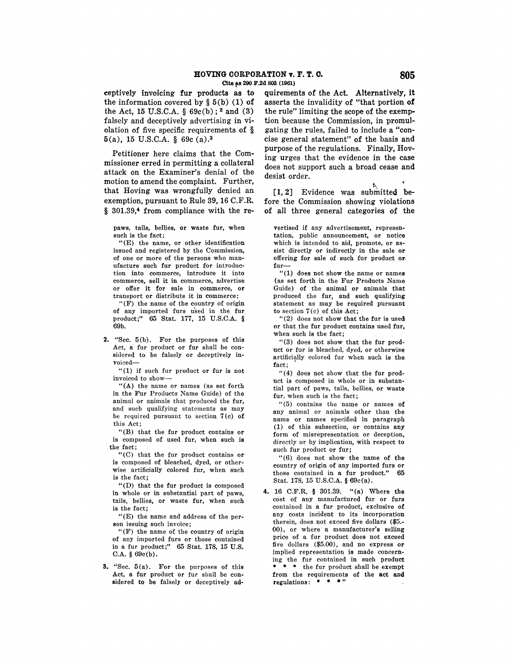eeptively invoicing fur products as to the information covered by  $\S 5(b) (1)$  of the Act, 15 U.S.C.A.  $\S 69c(b)$ ; <sup>2</sup> and (3) falsely and deceptively advertising in violation of five specific requirements of § **5** (a), 15 U.S.C.A. § 69c (a).<sup>3</sup>

Petitioner here claims that the Commissioner erred in permitting a collateral attack on the Examiner's denial of the motion to amend the complaint. Further, that Hoving was wrongfully denied an exemption, pursuant to Rule 39, 16 C.F.R. § 301.39,<sup>4</sup> from compliance with the re-

paws, tails, bellies, **or** waste fur, when such is the fact;

"(E) the name, or other identification issued and registered by the Commission, of one or more of the persons who man• ufacture such fur product for introduction into commerce, introduce it into commerce, sell it in commerce, advertise or offer it for sale in commerce, or transport or distribute it in commerce;

"(F) the name of the country of origin of any imported furs used in the fur product;" 65 Stat. 177, 16 U.S.C.A. § 69b.

**2.** "Sec. 5(b). For the purposes of this Act, a fur product or fur shall be considered to be falsely or deceptively invoiced-

" (1) if such fur product or fur is not invoiced to show-

" $(A)$  the name or names (as set forth in the Fur Products Name Guide) of the animal or animals that produced the fur, and such qualifying statements as may be required pursuant to section  $7(c)$  of this Act;

"(B) that the fur product contains or is composed of used fur, when such is the fact;

"(C) that the fur product contains or is composed of bleached, dyed, or otherwise artificially colored fur, when such is the fact;

"(D) that the fur product is composed in whole or in substantial part of paws, tails, bellies, or waste fur, when such is the fact;

"(E) the name and address of the per• son issuing such invoice;

"(F) the name of the country of origin of any imported furs or those contained in a fur product;" 65 Stat. 178, 15 U.S. C.A. § 69c(b).

3. "Sec.  $5(a)$ . For the purposes of this Act, a fur product or fur shall be considered to be falsely or deceptively ad• quirements of the Act. Alternatively, it asserts the invalidity of "that portion **of**  the rule" limiting the scope of the exemption because the Commission, in promulgating the rules, failed to include a "concise general statement" of the basis and purpose of the regulations. Finally, Hoving urges that the evidence in the case does not support such a broad cease and desist order.

[1, 2] Evidence was submitted before the Commission showing violations of all three general categories of the

vertised if any advertisement, representation, public announcement, or notice which is intended to aid, promote, or assist directly or indirectly in the sale **or**  offering for sale of such fur product or, fur-

"(1) does not show the name or names (as set forth in the Fur Products Name Guide) of the animal or animals that produced the fur, and such qualifying statement as may be required pursuant to section  $7(c)$  of this Act;

"(2) does not show that the fur is used or that the fur product contains used fur, when such is the fact;

"(3) does not show that the fur product or fur is bleached, dyed, or otherwise artificially colored fur when such is the fact:

" $(4)$  does not show that the fur product is composed in whole or in substantial part of paws, tails, bellies, or waste fur, when such is the fact;

"(5) contains the name or names of any animal or animals other than the name or names specified in paragraph (1) of this subsection, or contains any form of misrepresentation or deception, directly or by implication, with respect to such fur product or fur;

"(6) does not show the name **of the**  country of origin of any imported furs **or**  those contained in a fur product." 65 Stat. 178, 15 U.S.C.A. § 69c(a).

4. 16 C.F.R. § 301.39. "(a) Where the cost of any manufactured fur or furs contained in a fur product, exclusive of any costs incident to its incorporation therein, does not exceed five dollars (\$5.- 00), or where a manufacturer's selling price of a fur product does not exceed five dollars (\$5.00), and no express **or**  implied representation is made concerning the fur contained in such product \* \* \* the fur product shall be exempt from the requirements of the **act and**  regulations:  $***$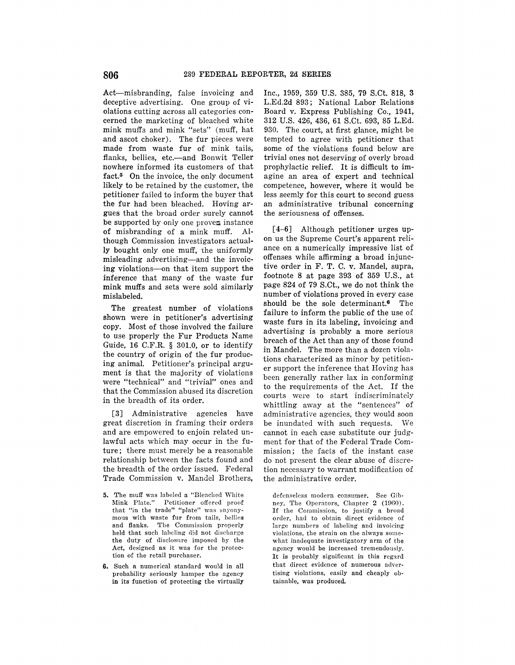Act-misbranding, false invoicing and deceptive advertising. One group of violations cutting across all categories concerned the marketing of bleached white mink muffs and mink "sets" (muff, hat and ascot choker). The fur pieces were made from waste fur of mink tails, flanks, bellies, etc.-and Bonwit Teller nowhere informed its customers of that fact.5 On the invoice, the only document likely to be retained by the customer, the petitioner failed to inform the buyer that the fur had been bleached. Hoving argues that the broad order surely cannot be supported by only one proven instance of misbranding of a mink muff. Although Commission investigators actual**ly** bought only one muff, the uniformly misleading advertising-and the invoic**ing** violations-on that item support the inference that many of the waste fur mink muffs and sets were sold similarly mislabeled.

The greatest number of violations shown were in petitioner's advertising copy. Most of those involved the failure to use properly the Fur Products Name Guide, 16 C.F.R. § 301.0, or to identify the country of origin of the fur produc**ing** animal. Petitioner's principal argument is that the majority of violations were "technical" and "trivial" ones and that the Commission abused its discretion in the breadth of its order.

[3] Administrative agencies have great discretion in framing their orders and are empowered to enjoin related unlawful acts which may occur in the future; there must merely be a reasonable relationship between the facts found and the breadth of the order issued. Federal Trade Commission v. Mandel Brothers,

- 5. The muff was labeled a "Bleached White Mink Plate." Petitioner offered proof that "in the trade" "plate" was snyonymous with waste fur from tails, bellies and flanks. The Commission properly held that such labeling did not discharge the duty of disclosure imposed by the Act, designed as it was for the protection of the retail purchaser.
- 6. Such a numerical standard would in all probability seriously hamper the agency in its function of protecting the virtually

Inc., 1959, 359 U.S. 385, 79 S.Ct. 818, 3 L.Ed.2d 893; National Labor Relations Board v. Express Publishing Co., 1941, 312 U.S. 426, 436, 61 S.Ct. 693, 85 L.Ed. 930. The court, at first glance, might be tempted to agree with petitioner that some of the violations found below are trivial ones not deserving of overly broad prophylactic relief. It is difficult to imagine an area of expert and technical competence, however, where it would be less seemly for this court to second guess an administrative tribunal concerning the seriousness of offenses.

[4-6] Although petitioner urges upon us the Supreme Court's apparent reliance on a numerically impressive list of offenses while affirming a broad injunctive order in F. T. C. v. Mandel, supra, footnote 8 at page 393 of 359 U.S., at page 824 of 79 S.Ct., we do not think the number of violations proved in every case should be the sole determinant.<sup>6</sup> The failure to inform the public of the use of waste furs in its labeling, invoicing and advertising is probably a more serious breach of the Act than any of those found in Mandel. The more than a dozen violations characterized as minor by petitioner support the inference that Hoving has been generally rather lax in conforming to the requirements of the Act. If the courts were to start indiscriminately whittling away at the "sentences" of administrative agencies, they would soon be inundated with such requests. We cannot in each case substitute our judgment for that of the Federal Trade Commission; the facts of the instant case do not present the clear abuse of discretion necessary to warrant modification of the administrative order.

defenseless modern consumer. See Gibney, The Operators, Chapter 2 (1960). If the Commission, to justify a broad order, had to obtain direct evidence of large numbers of labeling and invoicing violations, the strain on the always somewhat inadequate investigatory arm of the agency would be increased tremendously. It is probably significant in this regard that direct evidence of numerous advertising violations, easily and cheaply obtainable, was produced.